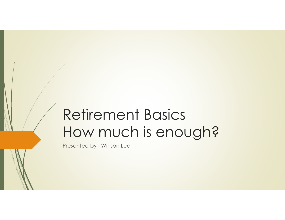# Retirement BasicsHow much is enough?

Presented by : Winson Lee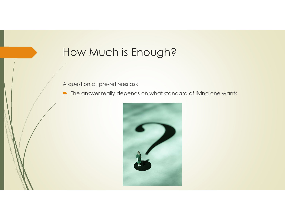# How Much is Enough?

A question all pre-retirees ask

 $\hbox{\small \bf D}$  The answer really depends on what standard of living one wants

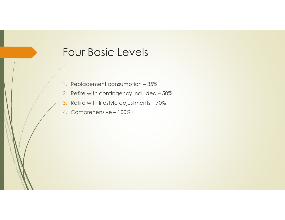#### Four Basic Levels

- 1. Replacement consumption 35%
- 2. Retire with contingency included 50%
- 3. Retire with lifestyle adjustments 70%
- 4. Comprehensive 100%+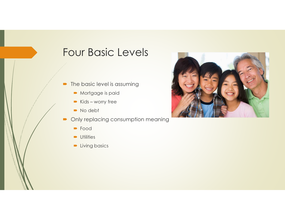#### Four Basic Levels

- $\blacksquare$  The basic level is assuming
	- Mortgage is paid
	- ► Kids worry free
	- No debt
- $\blacksquare$  Only replacing consumption meaning
	- Food
	- **•** Utilities
	- **D** Living basics

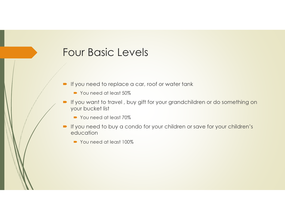#### Four Basic Levels

- $\blacktriangleright$  If you need to replace a car, roof or water tank
	- You need at least 50%
- If you want to travel , buy gift for your grandchildren or do something on your bucket list
	- You need at least 70%
- If you need to buy a condo for your children or save for your children's education
	- You need at least 100%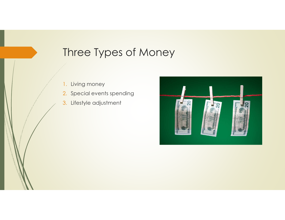# Three Types of Money

- 1.Living money
- 2. Special events spending
- 3. Lifestyle adjustment

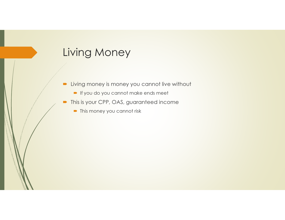# Living Money

- $\blacksquare$  Living money is money you cannot live without
	- If you do you cannot make ends meet
- $\qquad \qquad \blacksquare$  This is your CPP, OAS, guaranteed income
	- $\blacktriangleright$  This money you cannot risk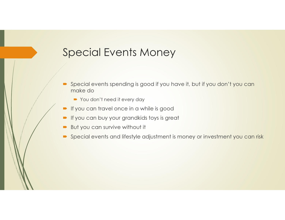# Special Events Money

- п Special events spending is good if you have it, but if you don't you can make do
	- You don't need it every day
- $\blacksquare$  If you can travel once in a while is good
- $\blacksquare$ If you can buy your grandkids toys is great
- $\blacksquare$ But you can survive without it
- $\quad \blacktriangleright \ \text{Special events and lifestyle adjustment is money or investment you can risk}$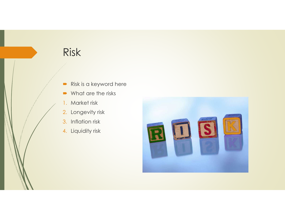- $\blacksquare$ Risk is a keyword here
- **■** What are the risks
- 1. Market risk
- 2. Longevity risk
- 3. Inflation risk
- 4. Liquidity risk

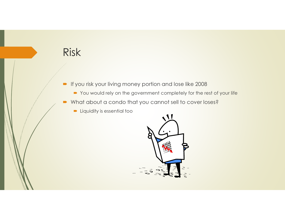- $\blacksquare$  If you risk your living money portion and lose like 2008
	- $\blacktriangleright$  You would rely on the government completely for the rest of your life
- $\blacksquare$ What about a condo that you cannot sell to cover loses?
	- Liquidity is essential too

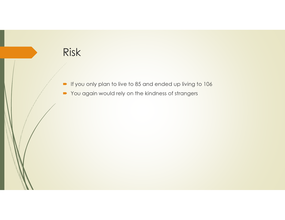- $\blacktriangleright$  If you only plan to live to 85 and ended up living to 106
- $\quad \blacktriangleright$  You again would rely on the kindness of strangers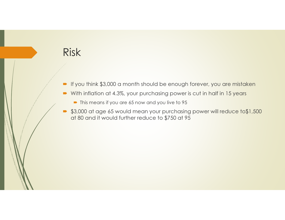- $\blacktriangleright$  If you think \$3,000 a month should be enough forever, you are mistaken
- $\blacksquare$ With inflation at 4.3%, your purchasing power is cut in half in 15 years
	- $\blacktriangleright$  This means if you are 65 now and you live to 95
- $\bullet$  \$3,000 at age 65 would mean your purchasing power will reduce to\$1,500 at 80 and it would further reduce to \$750 at 85 at 80 and it would further reduce to \$750 at 95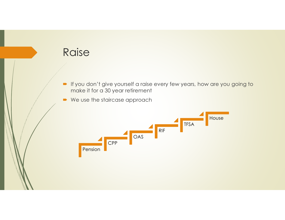

- If you don't give yourself a raise every few years, how are you going to<br>make it for a 30 year refirement make it for a 30 year retirement
- 

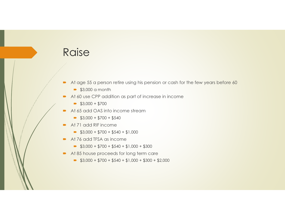# **Raise**

- $\blacksquare$ At age 55 a person retire using his pension or cash for the few years before 60
	- $\rightarrow$  \$3,000 a month
- $\rightarrow$ At 60 use CPP addition as part of increase in income
	- $\bullet$  \$3,000 + \$700
- $\blacksquare$ At 65 add OAS into income stream
	- $\Rightarrow$  \$3,000 + \$700 + \$540
- $\blacksquare$  At 71 add RIF income
	- $\Rightarrow$  \$3,000 + \$700 + \$540 + \$1,000
- At 76 add TFSA as income
	- $\bullet$  \$3,000 + \$700 + \$540 + \$1,000 + \$300
- At 85 house proceeds for long term care
	- $\bullet$  \$3,000 + \$700 + \$540 + \$1,000 + \$300 + \$2,000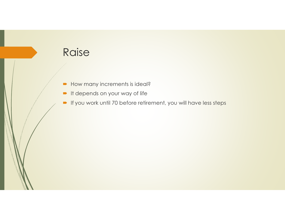# **Raise**

- $\blacksquare$  How many increments is ideal?
- $\blacksquare$  It depends on your way of life
- $\blacktriangleright$  If you work until 70 before retirement, you will have less steps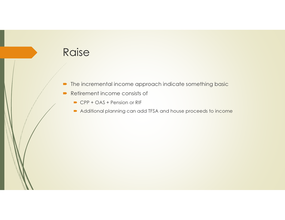# **Raise**

- $\hbox{\small \bf -}$  The incremental income approach indicate something basic
- $\blacksquare$  Retirement income consists of
	- CPP + OAS + Pension or RIF
	- $\blacktriangleright$  Additional planning can add TFSA and house proceeds to income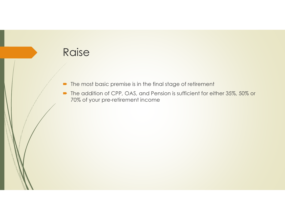

- $\quad \blacksquare$  The most basic premise is in the final stage of retirement
- The addition of CPP, OAS, and Pension is sufficient for either  $35\%$ ,  $50\%$  or  $70\%$  of vour pro refirement income 70% of your pre-retirement income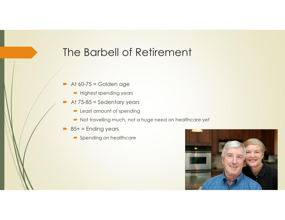# The Barbell of Retirement

- $\blacksquare$  At 60-75 = Golden age
	- Highest spending years
- $\blacksquare$  At 75-85 = Sedentary years
	- **Least amount of spending**
	- $\textcolor{blue}\bullet$  Not travelling much, not a huge need on healthcare yet
- 85+ = Ending years
	- Spending on healthcare

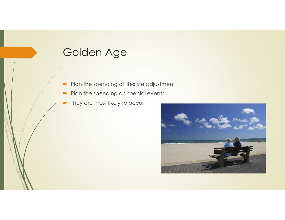- $\blacksquare$ Plan the spending of lifestyle adjustment
- $\blacksquare$ Plan the spending on special events
- $\blacksquare$ They are most likely to occur

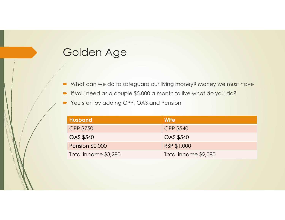- What can we do to safeguard our living money? Money we must have
- If you need as a couple \$5,000 a month to live what do you do?
- You start by adding CPP, OAS and Pension

| <b>Husband</b>         | <b>Wife</b>          |
|------------------------|----------------------|
| <b>CPP \$750</b>       | <b>CPP \$540</b>     |
| <b>OAS \$540</b>       | <b>OAS \$540</b>     |
| <b>Pension \$2,000</b> | RSP \$1,000          |
| Total income \$3,280   | Total income \$2,080 |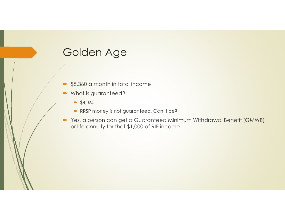- $\blacksquare$ \$5,360 a month in total income
- $\blacksquare$ What is guaranteed?
	- $\bullet$  \$4,360
	- RRSP money is not guaranteed. Can it be?
- $\blacksquare$ Yes, a person can get a Guaranteed Minimum Withdrawal Benefit (GMWB) or life annuity for that \$1,000 of RIF income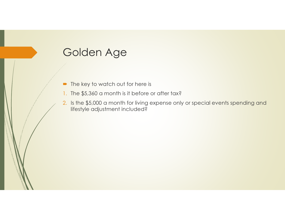- $\blacksquare$  The key to watch out for here is
- 1. The \$5,360 a month is it before or after tax?
- 2. Is the \$5,000 a month for living expense only or special events spending and lifestyle adjustment included?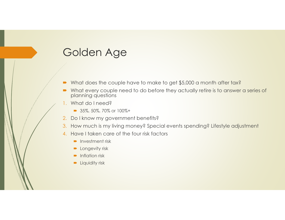- $\blacksquare$ What does the couple have to make to get \$5,000 a month after tax?
- $\blacksquare$ What every couple need to do before they actually retire is to answer a series of planning questions
- 1. What do I need?
	- $\Rightarrow$  35%, 50%, 70% or 100%+
- 2. Do I know my government benefits?
- 3. How much is my living money? Special events spending? Lifestyle adjustment
- 4. Have I taken care of the four risk factors
	- **D** Investment risk
	- **D** Longevity risk
	- **•** Inflation risk
	- **D** Liquidity risk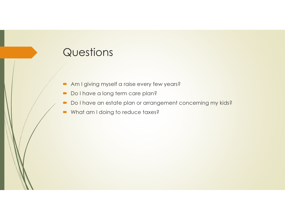#### **Questions**

- Am I giving myself a raise every few years?
- Do I have a long term care plan?
- $\textcolor{blue}\bullet$  Do I have an estate plan or arrangement concerning my kids?
- What am I doing to reduce taxes?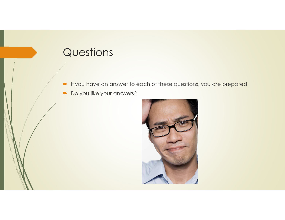### **Questions**

- If you have an answer to each of these questions, you are prepared
- Do you like your answers?